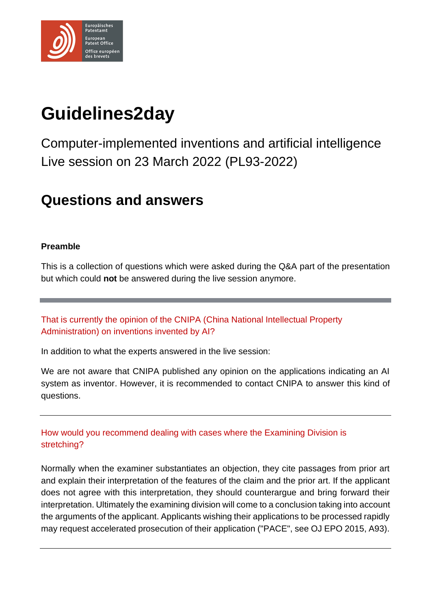

# **Guidelines2day**

Computer-implemented inventions and artificial intelligence Live session on 23 March 2022 (PL93-2022)

## **Questions and answers**

### **Preamble**

This is a collection of questions which were asked during the Q&A part of the presentation but which could **not** be answered during the live session anymore.

That is currently the opinion of the CNIPA (China National Intellectual Property Administration) on inventions invented by AI?

In addition to what the experts answered in the live session:

We are not aware that CNIPA published any opinion on the applications indicating an AI system as inventor. However, it is recommended to contact CNIPA to answer this kind of questions.

How would you recommend dealing with cases where the Examining Division is stretching?

Normally when the examiner substantiates an objection, they cite passages from prior art and explain their interpretation of the features of the claim and the prior art. If the applicant does not agree with this interpretation, they should counterargue and bring forward their interpretation. Ultimately the examining division will come to a conclusion taking into account the arguments of the applicant. Applicants wishing their applications to be processed rapidly may request accelerated prosecution of their application ("PACE", see OJ EPO 2015, A93).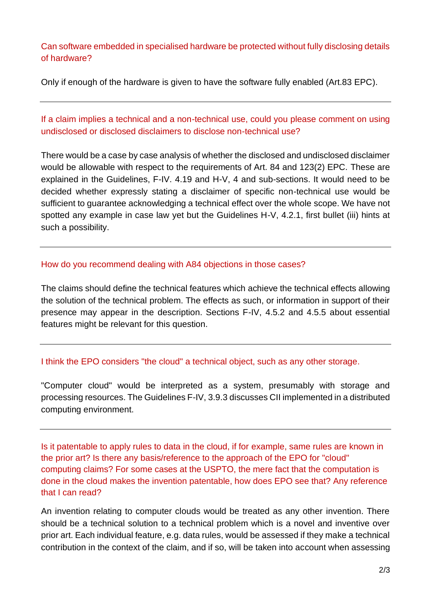#### Can software embedded in specialised hardware be protected without fully disclosing details of hardware?

Only if enough of the hardware is given to have the software fully enabled (Art.83 EPC).

### If a claim implies a technical and a non-technical use, could you please comment on using undisclosed or disclosed disclaimers to disclose non-technical use?

There would be a case by case analysis of whether the disclosed and undisclosed disclaimer would be allowable with respect to the requirements of Art. 84 and 123(2) EPC. These are explained in the Guidelines, F-IV. 4.19 and H-V, 4 and sub-sections. It would need to be decided whether expressly stating a disclaimer of specific non-technical use would be sufficient to guarantee acknowledging a technical effect over the whole scope. We have not spotted any example in case law yet but the Guidelines H-V, 4.2.1, first bullet (iii) hints at such a possibility.

#### How do you recommend dealing with A84 objections in those cases?

The claims should define the technical features which achieve the technical effects allowing the solution of the technical problem. The effects as such, or information in support of their presence may appear in the description. Sections F-IV, 4.5.2 and 4.5.5 about essential features might be relevant for this question.

#### I think the EPO considers "the cloud" a technical object, such as any other storage.

"Computer cloud" would be interpreted as a system, presumably with storage and processing resources. The Guidelines F-IV, 3.9.3 discusses CII implemented in a distributed computing environment.

Is it patentable to apply rules to data in the cloud, if for example, same rules are known in the prior art? Is there any basis/reference to the approach of the EPO for "cloud" computing claims? For some cases at the USPTO, the mere fact that the computation is done in the cloud makes the invention patentable, how does EPO see that? Any reference that I can read?

An invention relating to computer clouds would be treated as any other invention. There should be a technical solution to a technical problem which is a novel and inventive over prior art. Each individual feature, e.g. data rules, would be assessed if they make a technical contribution in the context of the claim, and if so, will be taken into account when assessing